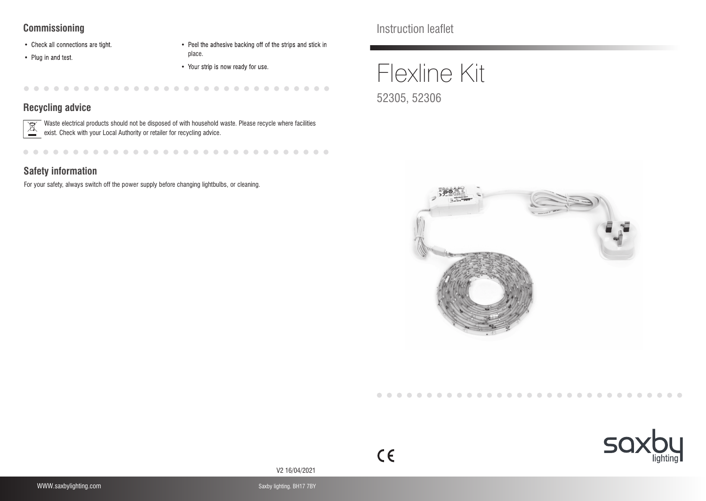#### **Commissioning**

- Check all connections are tight.
- Plug in and test.
- Peel the adhesive backing off of the strips and stick in place.
- Your strip is now ready for use.

 $\begin{array}{ccc} \bullet & \bullet \end{array}$  $\sim$  $\sim$  $\sim$  $\blacksquare$  $\sim$  $\blacksquare$ . . . . . . . . .

## **Recycling advice**

 $\boxed{\mathbb{X}}$ Waste electrical products should not be disposed of with household waste. Please recycle where facilities exist. Check with your Local Authority or retailer for recycling advice.

 $-0.00000$ 

### **Safety information**

For your safety, always switch off the power supply before changing lightbulbs, or cleaning.

Instruction leaflet

# Flexline Kit 52305, 52306





V2 16/04/2021

 $C<sub>1</sub>$